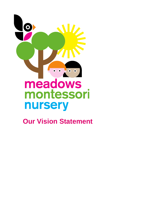

 **Our Vision Statement**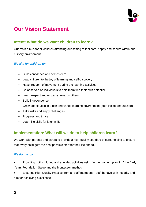

# **Our Vision Statement**

# **Intent: What do we want children to learn?**

Our main aim is for all children attending our setting to feel safe, happy and secure within our nursery environment.

#### *We aim for children to:*

- Build confidence and self-esteem
- Lead children to the joy of learning and self-discovery
- Have freedom of movement during the learning activities
- Be observed as individuals to help them find their own potential
- Learn respect and empathy towards others
- Build independence
- Grow and flourish in a rich and varied learning environment (both inside and outside)
- Take risks and enjoy challenges
- Progress and thrive
- Learn life skills for later in life

## **Implementation: What will we do to help children learn?**

We work with parents and carers to provide a high-quality standard of care, helping to ensure that every child gets the best possible start for their life ahead.

#### *We do this by:*

• Providing both child-led and adult-led activities using 'in the moment planning' the Early Years Foundation Stage and the Montessori method

• Ensuring High Quality Practice from all staff members – staff behave with integrity and aim for achieving excellence